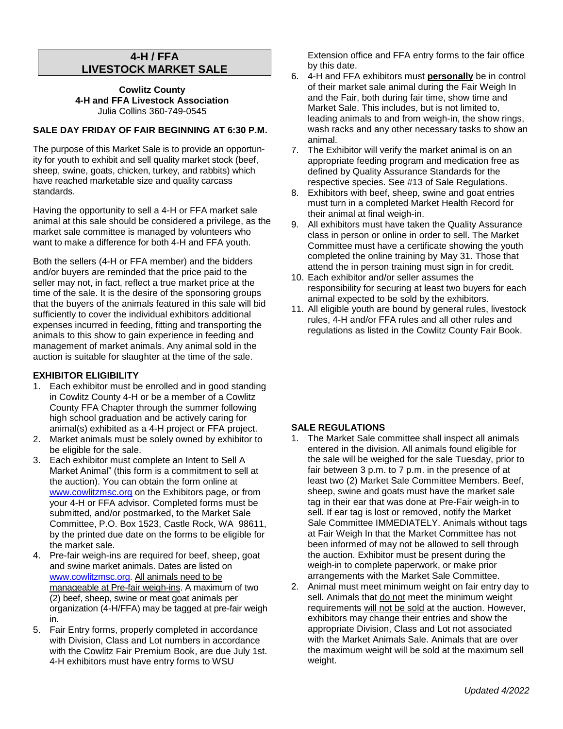# **4-H / FFA LIVESTOCK MARKET SALE**

**Cowlitz County 4-H and FFA Livestock Association** Julia Collins 360-749-0545

## **SALE DAY FRIDAY OF FAIR BEGINNING AT 6:30 P.M.**

The purpose of this Market Sale is to provide an opportunity for youth to exhibit and sell quality market stock (beef, sheep, swine, goats, chicken, turkey, and rabbits) which have reached marketable size and quality carcass standards.

Having the opportunity to sell a 4-H or FFA market sale animal at this sale should be considered a privilege, as the market sale committee is managed by volunteers who want to make a difference for both 4-H and FFA youth.

Both the sellers (4-H or FFA member) and the bidders and/or buyers are reminded that the price paid to the seller may not, in fact, reflect a true market price at the time of the sale. It is the desire of the sponsoring groups that the buyers of the animals featured in this sale will bid sufficiently to cover the individual exhibitors additional expenses incurred in feeding, fitting and transporting the animals to this show to gain experience in feeding and management of market animals. Any animal sold in the auction is suitable for slaughter at the time of the sale.

### **EXHIBITOR ELIGIBILITY**

- 1. Each exhibitor must be enrolled and in good standing in Cowlitz County 4-H or be a member of a Cowlitz County FFA Chapter through the summer following high school graduation and be actively caring for animal(s) exhibited as a 4-H project or FFA project.
- 2. Market animals must be solely owned by exhibitor to be eligible for the sale.
- 3. Each exhibitor must complete an Intent to Sell A Market Animal" (this form is a commitment to sell at the auction). You can obtain the form online at [www.cowlitzmsc.org](http://www.cowlitzmsc.org/) on the Exhibitors page, or from your 4-H or FFA advisor. Completed forms must be submitted, and/or postmarked, to the Market Sale Committee, P.O. Box 1523, Castle Rock, WA 98611, by the printed due date on the forms to be eligible for the market sale.
- 4. Pre-fair weigh-ins are required for beef, sheep, goat and swine market animals. Dates are listed on [www.cowlitzmsc.org.](http://www.cowlitzmsc.org/) All animals need to be manageable at Pre-fair weigh-ins. A maximum of two (2) beef, sheep, swine or meat goat animals per organization (4-H/FFA) may be tagged at pre-fair weigh in.
- 5. Fair Entry forms, properly completed in accordance with Division, Class and Lot numbers in accordance with the Cowlitz Fair Premium Book, are due July 1st. 4-H exhibitors must have entry forms to WSU

Extension office and FFA entry forms to the fair office by this date.

- 6. 4-H and FFA exhibitors must **personally** be in control of their market sale animal during the Fair Weigh In and the Fair, both during fair time, show time and Market Sale. This includes, but is not limited to, leading animals to and from weigh-in, the show rings, wash racks and any other necessary tasks to show an animal.
- 7. The Exhibitor will verify the market animal is on an appropriate feeding program and medication free as defined by Quality Assurance Standards for the respective species. See #13 of Sale Regulations.
- 8. Exhibitors with beef, sheep, swine and goat entries must turn in a completed Market Health Record for their animal at final weigh-in.
- 9. All exhibitors must have taken the Quality Assurance class in person or online in order to sell. The Market Committee must have a certificate showing the youth completed the online training by May 31. Those that attend the in person training must sign in for credit.
- 10. Each exhibitor and/or seller assumes the responsibility for securing at least two buyers for each animal expected to be sold by the exhibitors.
- 11. All eligible youth are bound by general rules, livestock rules, 4-H and/or FFA rules and all other rules and regulations as listed in the Cowlitz County Fair Book.

# **SALE REGULATIONS**

- 1. The Market Sale committee shall inspect all animals entered in the division. All animals found eligible for the sale will be weighed for the sale Tuesday, prior to fair between 3 p.m. to 7 p.m. in the presence of at least two (2) Market Sale Committee Members. Beef, sheep, swine and goats must have the market sale tag in their ear that was done at Pre-Fair weigh-in to sell. If ear tag is lost or removed, notify the Market Sale Committee IMMEDIATELY. Animals without tags at Fair Weigh In that the Market Committee has not been informed of may not be allowed to sell through the auction. Exhibitor must be present during the weigh-in to complete paperwork, or make prior arrangements with the Market Sale Committee.
- 2. Animal must meet minimum weight on fair entry day to sell. Animals that do not meet the minimum weight requirements will not be sold at the auction. However, exhibitors may change their entries and show the appropriate Division, Class and Lot not associated with the Market Animals Sale. Animals that are over the maximum weight will be sold at the maximum sell weight.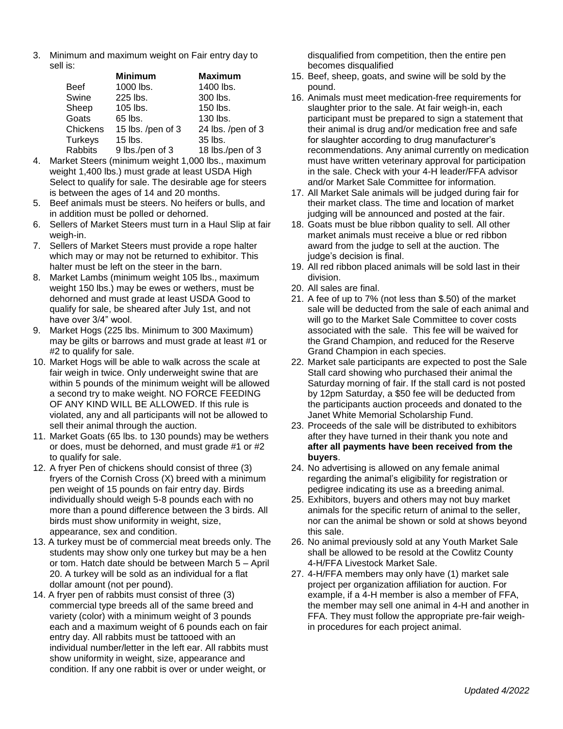3. Minimum and maximum weight on Fair entry day to sell is:

|                | <b>Minimum</b>    | <b>Maximum</b>    |
|----------------|-------------------|-------------------|
| Beef           | 1000 lbs.         | 1400 lbs.         |
| Swine          | 225 lbs.          | 300 lbs.          |
| Sheep          | $105$ lbs.        | 150 lbs.          |
| Goats          | 65 lbs.           | 130 lbs.          |
| Chickens       | 15 lbs. /pen of 3 | 24 lbs. /pen of 3 |
| <b>Turkeys</b> | $15$ lbs.         | 35 lbs.           |
| Rabbits        | 9 lbs./pen of 3   | 18 lbs./pen of 3  |

- 4. Market Steers (minimum weight 1,000 lbs., maximum weight 1,400 lbs.) must grade at least USDA High Select to qualify for sale. The desirable age for steers is between the ages of 14 and 20 months.
- 5. Beef animals must be steers. No heifers or bulls, and in addition must be polled or dehorned.
- 6. Sellers of Market Steers must turn in a Haul Slip at fair weigh-in.
- 7. Sellers of Market Steers must provide a rope halter which may or may not be returned to exhibitor. This halter must be left on the steer in the barn.
- 8. Market Lambs (minimum weight 105 lbs., maximum weight 150 lbs.) may be ewes or wethers, must be dehorned and must grade at least USDA Good to qualify for sale, be sheared after July 1st, and not have over 3/4" wool.
- 9. Market Hogs (225 lbs. Minimum to 300 Maximum) may be gilts or barrows and must grade at least #1 or #2 to qualify for sale.
- 10. Market Hogs will be able to walk across the scale at fair weigh in twice. Only underweight swine that are within 5 pounds of the minimum weight will be allowed a second try to make weight. NO FORCE FEEDING OF ANY KIND WILL BE ALLOWED. If this rule is violated, any and all participants will not be allowed to sell their animal through the auction.
- 11. Market Goats (65 lbs. to 130 pounds) may be wethers or does, must be dehorned, and must grade #1 or #2 to qualify for sale.
- 12. A fryer Pen of chickens should consist of three (3) fryers of the Cornish Cross (X) breed with a minimum pen weight of 15 pounds on fair entry day. Birds individually should weigh 5-8 pounds each with no more than a pound difference between the 3 birds. All birds must show uniformity in weight, size, appearance, sex and condition.
- 13. A turkey must be of commercial meat breeds only. The students may show only one turkey but may be a hen or tom. Hatch date should be between March 5 – April 20. A turkey will be sold as an individual for a flat dollar amount (not per pound).
- 14. A fryer pen of rabbits must consist of three (3) commercial type breeds all of the same breed and variety (color) with a minimum weight of 3 pounds each and a maximum weight of 6 pounds each on fair entry day. All rabbits must be tattooed with an individual number/letter in the left ear. All rabbits must show uniformity in weight, size, appearance and condition. If any one rabbit is over or under weight, or

disqualified from competition, then the entire pen becomes disqualified

- 15. Beef, sheep, goats, and swine will be sold by the pound.
- 16. Animals must meet medication-free requirements for slaughter prior to the sale. At fair weigh-in, each participant must be prepared to sign a statement that their animal is drug and/or medication free and safe for slaughter according to drug manufacturer's recommendations. Any animal currently on medication must have written veterinary approval for participation in the sale. Check with your 4-H leader/FFA advisor and/or Market Sale Committee for information.
- 17. All Market Sale animals will be judged during fair for their market class. The time and location of market judging will be announced and posted at the fair.
- 18. Goats must be blue ribbon quality to sell. All other market animals must receive a blue or red ribbon award from the judge to sell at the auction. The judge's decision is final.
- 19. All red ribbon placed animals will be sold last in their division.
- 20. All sales are final.
- 21. A fee of up to 7% (not less than \$.50) of the market sale will be deducted from the sale of each animal and will go to the Market Sale Committee to cover costs associated with the sale. This fee will be waived for the Grand Champion, and reduced for the Reserve Grand Champion in each species.
- 22. Market sale participants are expected to post the Sale Stall card showing who purchased their animal the Saturday morning of fair. If the stall card is not posted by 12pm Saturday, a \$50 fee will be deducted from the participants auction proceeds and donated to the Janet White Memorial Scholarship Fund.
- 23. Proceeds of the sale will be distributed to exhibitors after they have turned in their thank you note and **after all payments have been received from the buyers**.
- 24. No advertising is allowed on any female animal regarding the animal's eligibility for registration or pedigree indicating its use as a breeding animal.
- 25. Exhibitors, buyers and others may not buy market animals for the specific return of animal to the seller, nor can the animal be shown or sold at shows beyond this sale.
- 26. No animal previously sold at any Youth Market Sale shall be allowed to be resold at the Cowlitz County 4-H/FFA Livestock Market Sale.
- 27. 4-H/FFA members may only have (1) market sale project per organization affiliation for auction. For example, if a 4-H member is also a member of FFA, the member may sell one animal in 4-H and another in FFA. They must follow the appropriate pre-fair weighin procedures for each project animal.